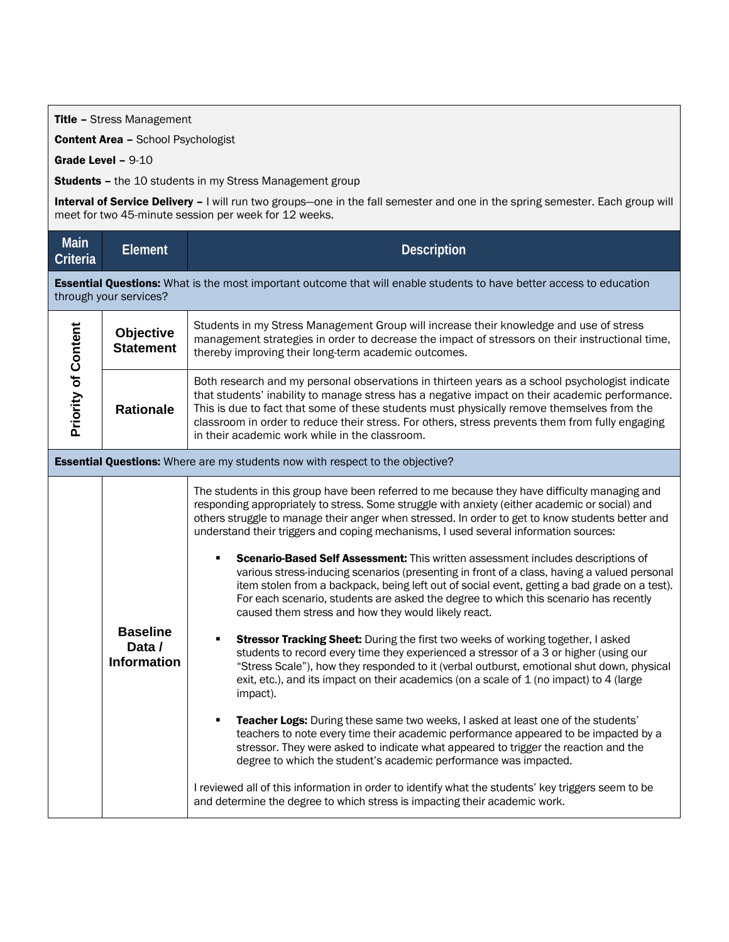Title - Stress Management

Content Area - School Psychologist

Grade Level - 9-10

**Students - the 10 students in my Stress Management group** 

Interval of Service Delivery - I will run two groups-one in the fall semester and one in the spring semester. Each group will meet for two 45-minute session per week for 12 weeks.

| <b>Main</b><br>Criteria                                                                                                                        | <b>Element</b>                                  | <b>Description</b>                                                                                                                                                                                                                                                                                                                                                                                                                                                                                                                                                                                                                                                                                                                                                                                                                                                                                                                                                                                                                                                                                                                                                                                                                                                                                                                                                                                                                                                                                                                                                                                                                                                                                                                       |  |
|------------------------------------------------------------------------------------------------------------------------------------------------|-------------------------------------------------|------------------------------------------------------------------------------------------------------------------------------------------------------------------------------------------------------------------------------------------------------------------------------------------------------------------------------------------------------------------------------------------------------------------------------------------------------------------------------------------------------------------------------------------------------------------------------------------------------------------------------------------------------------------------------------------------------------------------------------------------------------------------------------------------------------------------------------------------------------------------------------------------------------------------------------------------------------------------------------------------------------------------------------------------------------------------------------------------------------------------------------------------------------------------------------------------------------------------------------------------------------------------------------------------------------------------------------------------------------------------------------------------------------------------------------------------------------------------------------------------------------------------------------------------------------------------------------------------------------------------------------------------------------------------------------------------------------------------------------------|--|
| Essential Questions: What is the most important outcome that will enable students to have better access to education<br>through your services? |                                                 |                                                                                                                                                                                                                                                                                                                                                                                                                                                                                                                                                                                                                                                                                                                                                                                                                                                                                                                                                                                                                                                                                                                                                                                                                                                                                                                                                                                                                                                                                                                                                                                                                                                                                                                                          |  |
| <b>Priority of Content</b>                                                                                                                     | <b>Objective</b><br><b>Statement</b>            | Students in my Stress Management Group will increase their knowledge and use of stress<br>management strategies in order to decrease the impact of stressors on their instructional time,<br>thereby improving their long-term academic outcomes.                                                                                                                                                                                                                                                                                                                                                                                                                                                                                                                                                                                                                                                                                                                                                                                                                                                                                                                                                                                                                                                                                                                                                                                                                                                                                                                                                                                                                                                                                        |  |
|                                                                                                                                                | <b>Rationale</b>                                | Both research and my personal observations in thirteen years as a school psychologist indicate<br>that students' inability to manage stress has a negative impact on their academic performance.<br>This is due to fact that some of these students must physically remove themselves from the<br>classroom in order to reduce their stress. For others, stress prevents them from fully engaging<br>in their academic work while in the classroom.                                                                                                                                                                                                                                                                                                                                                                                                                                                                                                                                                                                                                                                                                                                                                                                                                                                                                                                                                                                                                                                                                                                                                                                                                                                                                      |  |
| Essential Questions: Where are my students now with respect to the objective?                                                                  |                                                 |                                                                                                                                                                                                                                                                                                                                                                                                                                                                                                                                                                                                                                                                                                                                                                                                                                                                                                                                                                                                                                                                                                                                                                                                                                                                                                                                                                                                                                                                                                                                                                                                                                                                                                                                          |  |
|                                                                                                                                                | <b>Baseline</b><br>Data /<br><b>Information</b> | The students in this group have been referred to me because they have difficulty managing and<br>responding appropriately to stress. Some struggle with anxiety (either academic or social) and<br>others struggle to manage their anger when stressed. In order to get to know students better and<br>understand their triggers and coping mechanisms, I used several information sources:<br>Scenario-Based Self Assessment: This written assessment includes descriptions of<br>various stress-inducing scenarios (presenting in front of a class, having a valued personal<br>item stolen from a backpack, being left out of social event, getting a bad grade on a test).<br>For each scenario, students are asked the degree to which this scenario has recently<br>caused them stress and how they would likely react.<br>Stressor Tracking Sheet: During the first two weeks of working together, I asked<br>students to record every time they experienced a stressor of a 3 or higher (using our<br>"Stress Scale"), how they responded to it (verbal outburst, emotional shut down, physical<br>exit, etc.), and its impact on their academics (on a scale of 1 (no impact) to 4 (large<br>impact).<br>Teacher Logs: During these same two weeks, I asked at least one of the students'<br>teachers to note every time their academic performance appeared to be impacted by a<br>stressor. They were asked to indicate what appeared to trigger the reaction and the<br>degree to which the student's academic performance was impacted.<br>I reviewed all of this information in order to identify what the students' key triggers seem to be<br>and determine the degree to which stress is impacting their academic work. |  |